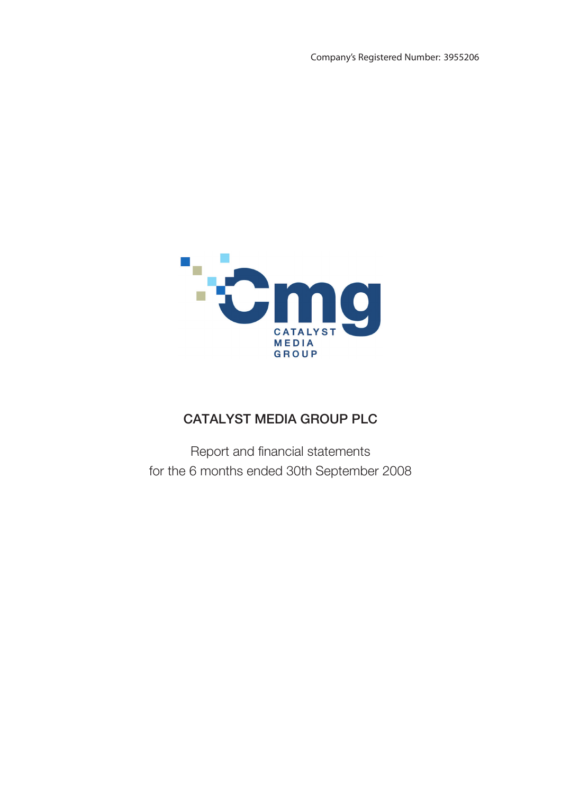Company's Registered Number: 3955206



# CATALYST MEDIA GROUP PLC

Report and financial statements for the 6 months ended 30th September 2008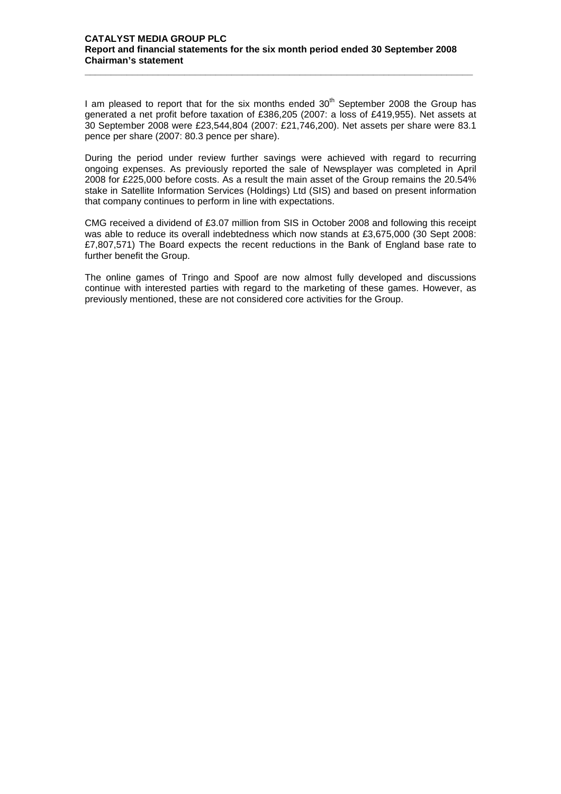**\_\_\_\_\_\_\_\_\_\_\_\_\_\_\_\_\_\_\_\_\_\_\_\_\_\_\_\_\_\_\_\_\_\_\_\_\_\_\_\_\_\_\_\_\_\_\_\_\_\_\_\_\_\_\_\_\_\_\_\_\_\_\_\_\_\_\_\_\_\_\_\_\_\_**

I am pleased to report that for the six months ended  $30<sup>th</sup>$  September 2008 the Group has generated a net profit before taxation of £386,205 (2007: a loss of £419,955). Net assets at 30 September 2008 were £23,544,804 (2007: £21,746,200). Net assets per share were 83.1 pence per share (2007: 80.3 pence per share).

During the period under review further savings were achieved with regard to recurring ongoing expenses. As previously reported the sale of Newsplayer was completed in April 2008 for £225,000 before costs. As a result the main asset of the Group remains the 20.54% stake in Satellite Information Services (Holdings) Ltd (SIS) and based on present information that company continues to perform in line with expectations.

CMG received a dividend of £3.07 million from SIS in October 2008 and following this receipt was able to reduce its overall indebtedness which now stands at £3,675,000 (30 Sept 2008: £7,807,571) The Board expects the recent reductions in the Bank of England base rate to further benefit the Group.

The online games of Tringo and Spoof are now almost fully developed and discussions continue with interested parties with regard to the marketing of these games. However, as previously mentioned, these are not considered core activities for the Group.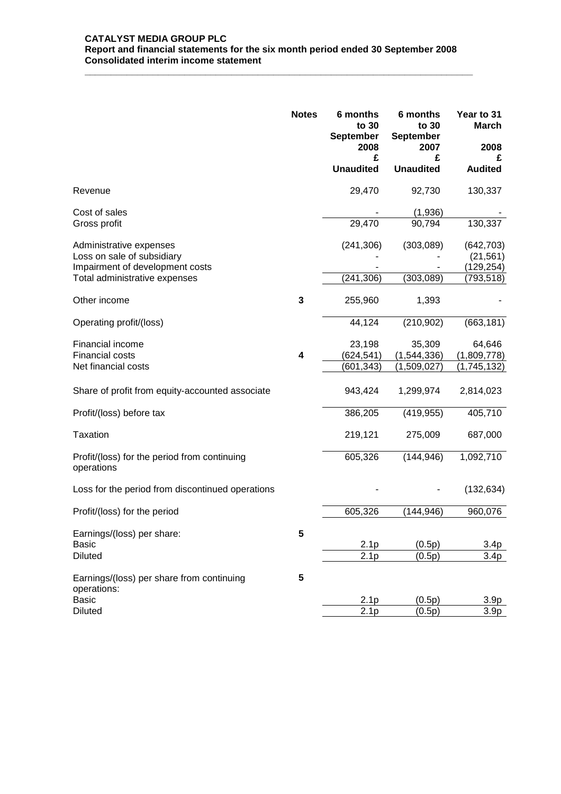## **CATALYST MEDIA GROUP PLC Report and financial statements for the six month period ended 30 September 2008 Consolidated interim income statement**

**\_\_\_\_\_\_\_\_\_\_\_\_\_\_\_\_\_\_\_\_\_\_\_\_\_\_\_\_\_\_\_\_\_\_\_\_\_\_\_\_\_\_\_\_\_\_\_\_\_\_\_\_\_\_\_\_\_\_\_\_\_\_\_\_\_\_\_\_\_\_\_\_\_\_**

|                                                                  | <b>Notes</b> | 6 months<br>to 30<br><b>September</b><br>2008 | 6 months<br>to 30<br>September<br>2007 | Year to 31<br><b>March</b><br>2008 |
|------------------------------------------------------------------|--------------|-----------------------------------------------|----------------------------------------|------------------------------------|
|                                                                  |              | £<br><b>Unaudited</b>                         | £<br><b>Unaudited</b>                  | <b>Audited</b>                     |
| Revenue                                                          |              | 29,470                                        | 92,730                                 | 130,337                            |
| Cost of sales                                                    |              |                                               | (1,936)                                |                                    |
| Gross profit                                                     |              | 29,470                                        | 90,794                                 | 130,337                            |
| Administrative expenses                                          |              | (241, 306)                                    | (303,089)                              | (642, 703)                         |
| Loss on sale of subsidiary                                       |              |                                               |                                        | (21, 561)                          |
| Impairment of development costs<br>Total administrative expenses |              | (241, 306)                                    | (303, 089)                             | (129, 254)<br>(793, 518)           |
| Other income                                                     | 3            | 255,960                                       | 1,393                                  |                                    |
| Operating profit/(loss)                                          |              | 44,124                                        | (210, 902)                             | (663, 181)                         |
| Financial income                                                 |              | 23,198                                        | 35,309                                 | 64,646                             |
| <b>Financial costs</b>                                           | 4            | (624, 541)                                    | (1,544,336)                            | (1,809,778)                        |
| Net financial costs                                              |              | (601,343)                                     | (1,509,027)                            | (1,745,132)                        |
| Share of profit from equity-accounted associate                  |              | 943,424                                       | 1,299,974                              | 2,814,023                          |
| Profit/(loss) before tax                                         |              | 386,205                                       | (419, 955)                             | 405,710                            |
| <b>Taxation</b>                                                  |              | 219,121                                       | 275,009                                | 687,000                            |
| Profit/(loss) for the period from continuing<br>operations       |              | 605,326                                       | (144, 946)                             | 1,092,710                          |
| Loss for the period from discontinued operations                 |              |                                               |                                        | (132, 634)                         |
| Profit/(loss) for the period                                     |              | 605,326                                       | (144, 946)                             | 960,076                            |
| Earnings/(loss) per share:                                       | 5            |                                               |                                        |                                    |
| <b>Basic</b>                                                     |              | 2.1 <sub>p</sub>                              | (0.5p)                                 | 3.4 <sub>p</sub>                   |
| <b>Diluted</b>                                                   |              | 2.1 <sub>p</sub>                              | (0.5p)                                 | 3.4 <sub>p</sub>                   |
| Earnings/(loss) per share from continuing<br>operations:         | 5            |                                               |                                        |                                    |
| <b>Basic</b>                                                     |              | 2.1 <sub>p</sub>                              | (0.5p)                                 | 3.9 <sub>p</sub>                   |
| <b>Diluted</b>                                                   |              | $\overline{2}.1p$                             | (0.5p)                                 | 3.9 <sub>p</sub>                   |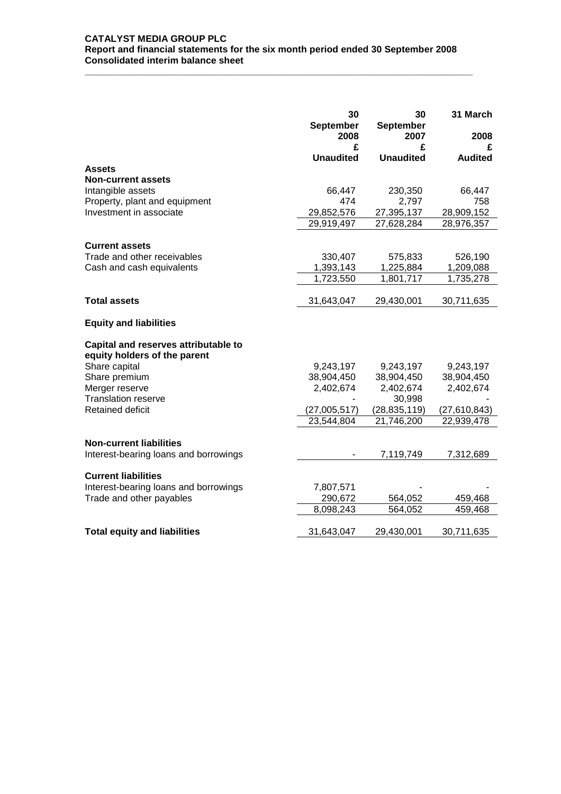**\_\_\_\_\_\_\_\_\_\_\_\_\_\_\_\_\_\_\_\_\_\_\_\_\_\_\_\_\_\_\_\_\_\_\_\_\_\_\_\_\_\_\_\_\_\_\_\_\_\_\_\_\_\_\_\_\_\_\_\_\_\_\_\_\_\_\_\_\_\_\_\_\_\_**

|                                                                      | 30<br>September<br>2008 | 30<br><b>September</b><br>2007 | 31 March<br>2008 |
|----------------------------------------------------------------------|-------------------------|--------------------------------|------------------|
|                                                                      | £                       | £                              | £                |
|                                                                      | <b>Unaudited</b>        | <b>Unaudited</b>               | <b>Audited</b>   |
| Assets                                                               |                         |                                |                  |
| <b>Non-current assets</b><br>Intangible assets                       | 66,447                  | 230,350                        | 66,447           |
| Property, plant and equipment                                        | 474                     | 2,797                          | 758              |
| Investment in associate                                              | 29,852,576              | 27,395,137                     | 28,909,152       |
|                                                                      | 29,919,497              | 27,628,284                     | 28,976,357       |
|                                                                      |                         |                                |                  |
| <b>Current assets</b>                                                |                         |                                |                  |
| Trade and other receivables                                          | 330,407                 | 575,833                        | 526,190          |
| Cash and cash equivalents                                            | 1,393,143               | 1,225,884                      | 1,209,088        |
|                                                                      | 1,723,550               | 1,801,717                      | 1,735,278        |
|                                                                      |                         |                                |                  |
| <b>Total assets</b>                                                  | 31,643,047              | 29,430,001                     | 30,711,635       |
| <b>Equity and liabilities</b>                                        |                         |                                |                  |
| Capital and reserves attributable to<br>equity holders of the parent |                         |                                |                  |
| Share capital                                                        | 9,243,197               | 9,243,197                      | 9,243,197        |
| Share premium                                                        | 38,904,450              | 38,904,450                     | 38,904,450       |
| Merger reserve                                                       | 2,402,674               | 2,402,674                      | 2,402,674        |
| <b>Translation reserve</b>                                           |                         | 30,998                         |                  |
| Retained deficit                                                     | (27,005,517)            | (28, 835, 119)                 | (27,610,843)     |
|                                                                      | 23,544,804              | 21,746,200                     | 22,939,478       |
|                                                                      |                         |                                |                  |
| <b>Non-current liabilities</b>                                       |                         |                                |                  |
| Interest-bearing loans and borrowings                                |                         | 7,119,749                      | 7,312,689        |
|                                                                      |                         |                                |                  |
| <b>Current liabilities</b>                                           |                         |                                |                  |
| Interest-bearing loans and borrowings                                | 7,807,571               |                                |                  |
| Trade and other payables                                             | 290,672                 | 564,052                        | 459,468          |
|                                                                      | 8,098,243               | 564,052                        | 459,468          |
| <b>Total equity and liabilities</b>                                  | 31,643,047              | 29,430,001                     | 30,711,635       |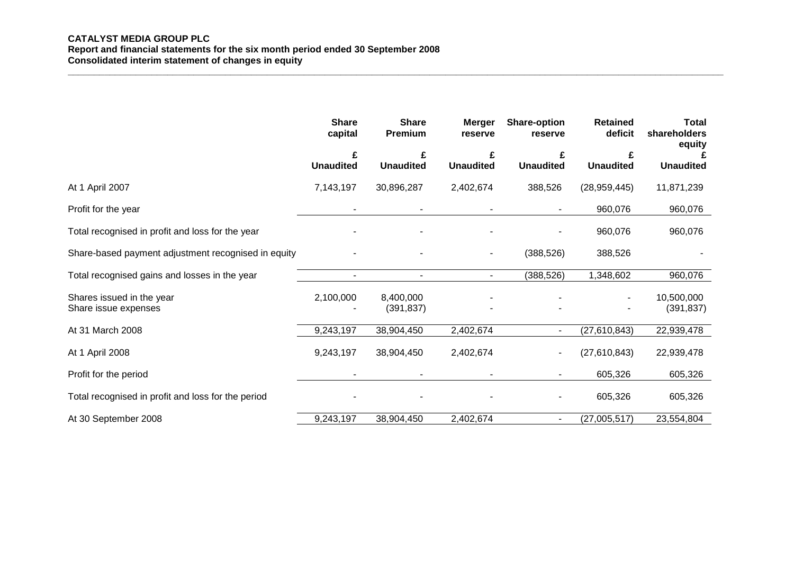# **CATALYST MEDIA GROUP PLC Report and financial statements for the six month period ended 30 September 2008 Consolidated interim statement of changes in equity**

|                                                     | <b>Share</b><br>capital  | <b>Share</b><br>Premium | <b>Merger</b><br>reserve | <b>Share-option</b><br>reserve | <b>Retained</b><br>deficit | <b>Total</b><br>shareholders<br>equity |
|-----------------------------------------------------|--------------------------|-------------------------|--------------------------|--------------------------------|----------------------------|----------------------------------------|
|                                                     | £<br><b>Unaudited</b>    | £<br><b>Unaudited</b>   | <b>Unaudited</b>         | <b>Unaudited</b>               | <b>Unaudited</b>           | <b>Unaudited</b>                       |
| At 1 April 2007                                     | 7,143,197                | 30,896,287              | 2,402,674                | 388,526                        | (28, 959, 445)             | 11,871,239                             |
| Profit for the year                                 |                          |                         |                          |                                | 960,076                    | 960,076                                |
| Total recognised in profit and loss for the year    |                          |                         |                          |                                | 960,076                    | 960,076                                |
| Share-based payment adjustment recognised in equity |                          |                         | $\blacksquare$           | (388, 526)                     | 388,526                    |                                        |
| Total recognised gains and losses in the year       | $\overline{\phantom{0}}$ | $\sim$                  | $\overline{\phantom{a}}$ | (388, 526)                     | 1,348,602                  | 960,076                                |
| Shares issued in the year<br>Share issue expenses   | 2,100,000                | 8,400,000<br>(391, 837) |                          |                                |                            | 10,500,000<br>(391, 837)               |
| At 31 March 2008                                    | 9,243,197                | 38,904,450              | 2,402,674                | $\sim$                         | (27,610,843)               | 22,939,478                             |
| At 1 April 2008                                     | 9,243,197                | 38,904,450              | 2,402,674                | ۰.                             | (27,610,843)               | 22,939,478                             |
| Profit for the period                               |                          |                         |                          | ۰.                             | 605,326                    | 605,326                                |
| Total recognised in profit and loss for the period  |                          |                         |                          |                                | 605,326                    | 605,326                                |
| At 30 September 2008                                | 9,243,197                | 38,904,450              | 2,402,674                | $\sim$                         | (27,005,517)               | 23,554,804                             |

**\_\_\_\_\_\_\_\_\_\_\_\_\_\_\_\_\_\_\_\_\_\_\_\_\_\_\_\_\_\_\_\_\_\_\_\_\_\_\_\_\_\_\_\_\_\_\_\_\_\_\_\_\_\_\_\_\_\_\_\_\_\_\_\_\_\_\_\_\_\_\_\_\_\_\_\_\_\_\_\_\_\_\_\_\_\_\_\_\_\_\_\_\_\_\_\_\_\_\_\_\_\_\_\_\_\_\_\_\_\_\_\_\_\_\_\_\_\_\_\_\_\_\_\_\_**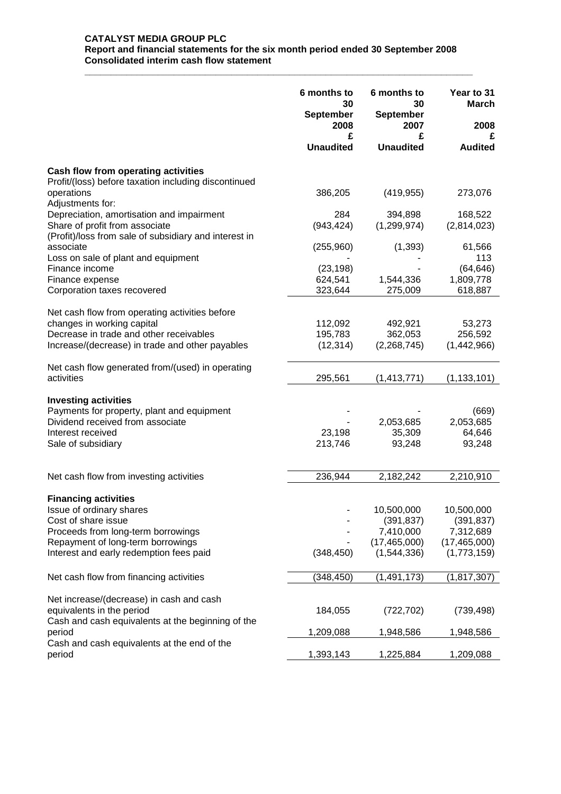## **CATALYST MEDIA GROUP PLC Report and financial statements for the six month period ended 30 September 2008 Consolidated interim cash flow statement**

**\_\_\_\_\_\_\_\_\_\_\_\_\_\_\_\_\_\_\_\_\_\_\_\_\_\_\_\_\_\_\_\_\_\_\_\_\_\_\_\_\_\_\_\_\_\_\_\_\_\_\_\_\_\_\_\_\_\_\_\_\_\_\_\_\_\_\_\_\_\_\_\_\_\_**

|                                                               | 6 months to<br>30<br><b>September</b> | 6 months to<br>30<br><b>September</b> | Year to 31<br><b>March</b> |  |
|---------------------------------------------------------------|---------------------------------------|---------------------------------------|----------------------------|--|
|                                                               | 2008                                  | 2007                                  | 2008                       |  |
|                                                               | £<br><b>Unaudited</b>                 | £<br><b>Unaudited</b>                 | <b>Audited</b>             |  |
| Cash flow from operating activities                           |                                       |                                       |                            |  |
| Profit/(loss) before taxation including discontinued          |                                       |                                       |                            |  |
| operations                                                    | 386,205                               | (419, 955)                            | 273,076                    |  |
| Adjustments for:<br>Depreciation, amortisation and impairment | 284                                   | 394,898                               | 168,522                    |  |
| Share of profit from associate                                | (943, 424)                            | (1, 299, 974)                         | (2,814,023)                |  |
| (Profit)/loss from sale of subsidiary and interest in         |                                       |                                       |                            |  |
| associate                                                     | (255,960)                             | (1, 393)                              | 61,566                     |  |
| Loss on sale of plant and equipment                           |                                       |                                       | 113                        |  |
| Finance income                                                | (23, 198)                             |                                       | (64, 646)                  |  |
| Finance expense<br>Corporation taxes recovered                | 624,541<br>323,644                    | 1,544,336<br>275,009                  | 1,809,778<br>618,887       |  |
|                                                               |                                       |                                       |                            |  |
| Net cash flow from operating activities before                |                                       |                                       |                            |  |
| changes in working capital                                    | 112,092                               | 492,921                               | 53,273                     |  |
| Decrease in trade and other receivables                       | 195,783                               | 362,053                               | 256,592                    |  |
| Increase/(decrease) in trade and other payables               | (12, 314)                             | (2,268,745)                           | (1,442,966)                |  |
| Net cash flow generated from/(used) in operating              |                                       |                                       |                            |  |
| activities                                                    | 295,561                               | (1, 413, 771)                         | (1, 133, 101)              |  |
| <b>Investing activities</b>                                   |                                       |                                       |                            |  |
| Payments for property, plant and equipment                    |                                       |                                       | (669)                      |  |
| Dividend received from associate                              |                                       | 2,053,685                             | 2,053,685                  |  |
| Interest received                                             | 23,198                                | 35,309                                | 64,646                     |  |
| Sale of subsidiary                                            | 213,746                               | 93,248                                | 93,248                     |  |
|                                                               |                                       |                                       |                            |  |
| Net cash flow from investing activities                       | 236,944                               | 2,182,242                             | 2,210,910                  |  |
| <b>Financing activities</b>                                   |                                       |                                       |                            |  |
| Issue of ordinary shares                                      |                                       | 10,500,000                            | 10,500,000                 |  |
| Cost of share issue                                           |                                       | (391, 837)                            | (391, 837)                 |  |
| Proceeds from long-term borrowings                            |                                       | 7,410,000                             | 7,312,689                  |  |
| Repayment of long-term borrowings                             |                                       | (17, 465, 000)                        | (17, 465, 000)             |  |
| Interest and early redemption fees paid                       | (348, 450)                            | (1,544,336)                           | (1,773,159)                |  |
| Net cash flow from financing activities                       | (348, 450)                            | (1, 491, 173)                         | (1, 817, 307)              |  |
| Net increase/(decrease) in cash and cash                      |                                       |                                       |                            |  |
| equivalents in the period                                     | 184,055                               | (722, 702)                            | (739, 498)                 |  |
| Cash and cash equivalents at the beginning of the             |                                       |                                       |                            |  |
| period                                                        | 1,209,088                             | 1,948,586                             | 1,948,586                  |  |
| Cash and cash equivalents at the end of the<br>period         | 1,393,143                             | 1,225,884                             | 1,209,088                  |  |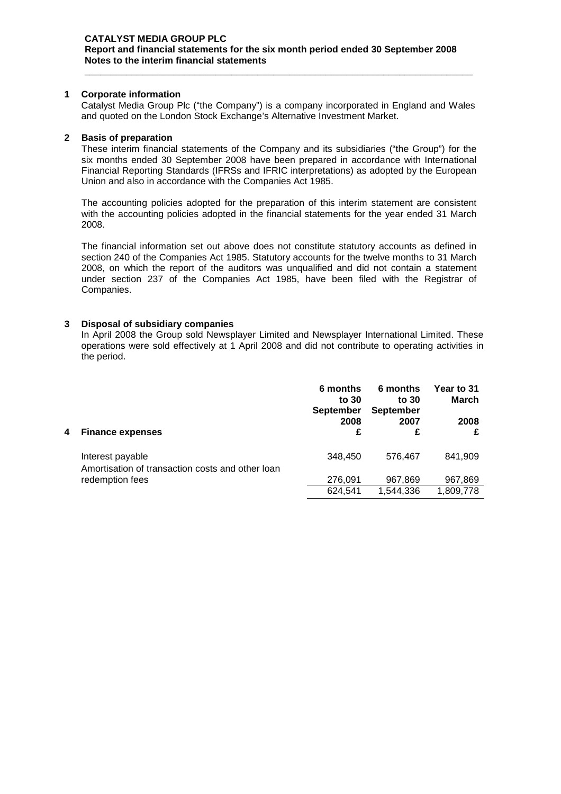#### **CATALYST MEDIA GROUP PLC Report and financial statements for the six month period ended 30 September 2008 Notes to the interim financial statements**

#### **1 Corporate information**

Catalyst Media Group Plc ("the Company") is a company incorporated in England and Wales and quoted on the London Stock Exchange's Alternative Investment Market.

**\_\_\_\_\_\_\_\_\_\_\_\_\_\_\_\_\_\_\_\_\_\_\_\_\_\_\_\_\_\_\_\_\_\_\_\_\_\_\_\_\_\_\_\_\_\_\_\_\_\_\_\_\_\_\_\_\_\_\_\_\_\_\_\_\_\_\_\_\_\_\_\_\_\_**

#### **2 Basis of preparation**

These interim financial statements of the Company and its subsidiaries ("the Group") for the six months ended 30 September 2008 have been prepared in accordance with International Financial Reporting Standards (IFRSs and IFRIC interpretations) as adopted by the European Union and also in accordance with the Companies Act 1985.

The accounting policies adopted for the preparation of this interim statement are consistent with the accounting policies adopted in the financial statements for the year ended 31 March 2008.

The financial information set out above does not constitute statutory accounts as defined in section 240 of the Companies Act 1985. Statutory accounts for the twelve months to 31 March 2008, on which the report of the auditors was unqualified and did not contain a statement under section 237 of the Companies Act 1985, have been filed with the Registrar of Companies.

#### **3 Disposal of subsidiary companies**

In April 2008 the Group sold Newsplayer Limited and Newsplayer International Limited. These operations were sold effectively at 1 April 2008 and did not contribute to operating activities in the period.

| 4 | <b>Finance expenses</b>                                              | 6 months<br>to 30<br><b>September</b><br>2008<br>£ | 6 months<br>to $30$<br><b>September</b><br>2007<br>£ | Year to 31<br>March<br>2008<br>£ |  |
|---|----------------------------------------------------------------------|----------------------------------------------------|------------------------------------------------------|----------------------------------|--|
|   | Interest payable<br>Amortisation of transaction costs and other loan | 348,450                                            | 576,467                                              | 841,909                          |  |
|   | redemption fees                                                      | 276,091                                            | 967,869                                              | 967,869                          |  |
|   |                                                                      | 624,541                                            | 1.544.336                                            | 1,809,778                        |  |